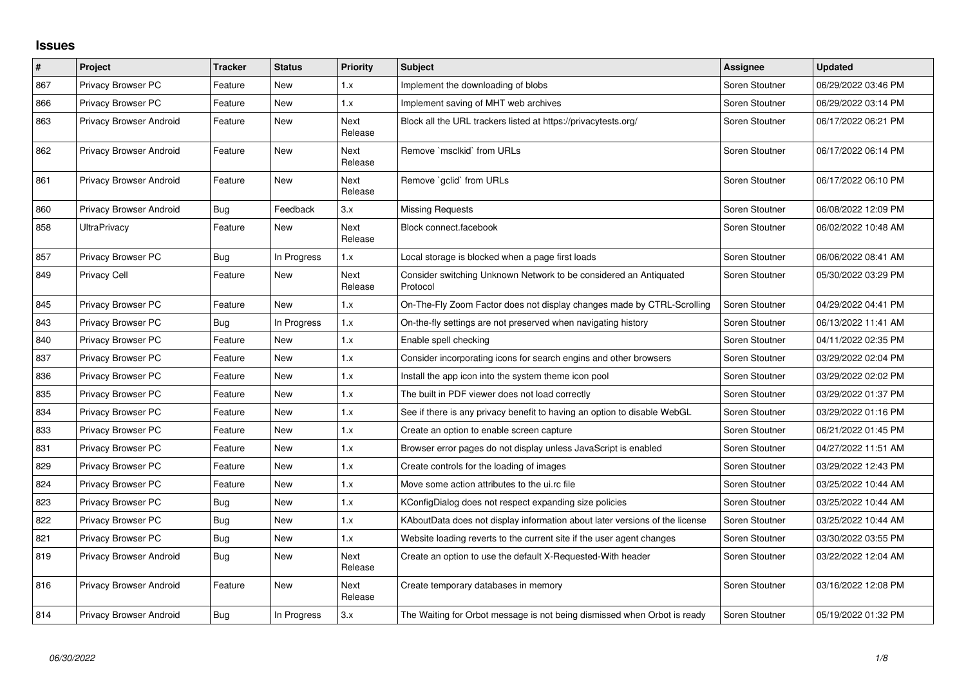## **Issues**

| $\vert$ # | Project                 | <b>Tracker</b> | <b>Status</b> | <b>Priority</b>        | <b>Subject</b>                                                                | Assignee       | <b>Updated</b>      |
|-----------|-------------------------|----------------|---------------|------------------------|-------------------------------------------------------------------------------|----------------|---------------------|
| 867       | Privacy Browser PC      | Feature        | <b>New</b>    | 1.x                    | Implement the downloading of blobs                                            | Soren Stoutner | 06/29/2022 03:46 PM |
| 866       | Privacy Browser PC      | Feature        | New           | 1.x                    | Implement saving of MHT web archives                                          | Soren Stoutner | 06/29/2022 03:14 PM |
| 863       | Privacy Browser Android | Feature        | New           | Next<br>Release        | Block all the URL trackers listed at https://privacytests.org/                | Soren Stoutner | 06/17/2022 06:21 PM |
| 862       | Privacy Browser Android | Feature        | <b>New</b>    | Next<br>Release        | Remove `msclkid` from URLs                                                    | Soren Stoutner | 06/17/2022 06:14 PM |
| 861       | Privacy Browser Android | Feature        | New           | Next<br>Release        | Remove `gclid` from URLs                                                      | Soren Stoutner | 06/17/2022 06:10 PM |
| 860       | Privacy Browser Android | Bug            | Feedback      | 3.x                    | <b>Missing Requests</b>                                                       | Soren Stoutner | 06/08/2022 12:09 PM |
| 858       | <b>UltraPrivacy</b>     | Feature        | <b>New</b>    | <b>Next</b><br>Release | Block connect.facebook                                                        | Soren Stoutner | 06/02/2022 10:48 AM |
| 857       | Privacy Browser PC      | <b>Bug</b>     | In Progress   | 1.x                    | Local storage is blocked when a page first loads                              | Soren Stoutner | 06/06/2022 08:41 AM |
| 849       | <b>Privacy Cell</b>     | Feature        | New           | <b>Next</b><br>Release | Consider switching Unknown Network to be considered an Antiquated<br>Protocol | Soren Stoutner | 05/30/2022 03:29 PM |
| 845       | Privacy Browser PC      | Feature        | <b>New</b>    | 1.x                    | On-The-Fly Zoom Factor does not display changes made by CTRL-Scrolling        | Soren Stoutner | 04/29/2022 04:41 PM |
| 843       | Privacy Browser PC      | Bug            | In Progress   | 1.x                    | On-the-fly settings are not preserved when navigating history                 | Soren Stoutner | 06/13/2022 11:41 AM |
| 840       | Privacy Browser PC      | Feature        | <b>New</b>    | 1.x                    | Enable spell checking                                                         | Soren Stoutner | 04/11/2022 02:35 PM |
| 837       | Privacy Browser PC      | Feature        | <b>New</b>    | 1.x                    | Consider incorporating icons for search engins and other browsers             | Soren Stoutner | 03/29/2022 02:04 PM |
| 836       | Privacy Browser PC      | Feature        | New           | 1.x                    | Install the app icon into the system theme icon pool                          | Soren Stoutner | 03/29/2022 02:02 PM |
| 835       | Privacy Browser PC      | Feature        | New           | 1.x                    | The built in PDF viewer does not load correctly                               | Soren Stoutner | 03/29/2022 01:37 PM |
| 834       | Privacy Browser PC      | Feature        | New           | 1.x                    | See if there is any privacy benefit to having an option to disable WebGL      | Soren Stoutner | 03/29/2022 01:16 PM |
| 833       | Privacy Browser PC      | Feature        | <b>New</b>    | 1.x                    | Create an option to enable screen capture                                     | Soren Stoutner | 06/21/2022 01:45 PM |
| 831       | Privacy Browser PC      | Feature        | <b>New</b>    | 1.x                    | Browser error pages do not display unless JavaScript is enabled               | Soren Stoutner | 04/27/2022 11:51 AM |
| 829       | Privacy Browser PC      | Feature        | New           | 1.x                    | Create controls for the loading of images                                     | Soren Stoutner | 03/29/2022 12:43 PM |
| 824       | Privacy Browser PC      | Feature        | <b>New</b>    | 1.x                    | Move some action attributes to the ui.rc file                                 | Soren Stoutner | 03/25/2022 10:44 AM |
| 823       | Privacy Browser PC      | <b>Bug</b>     | <b>New</b>    | 1.x                    | KConfigDialog does not respect expanding size policies                        | Soren Stoutner | 03/25/2022 10:44 AM |
| 822       | Privacy Browser PC      | <b>Bug</b>     | <b>New</b>    | 1.x                    | KAboutData does not display information about later versions of the license   | Soren Stoutner | 03/25/2022 10:44 AM |
| 821       | Privacy Browser PC      | <b>Bug</b>     | <b>New</b>    | 1.x                    | Website loading reverts to the current site if the user agent changes         | Soren Stoutner | 03/30/2022 03:55 PM |
| 819       | Privacy Browser Android | <b>Bug</b>     | New           | Next<br>Release        | Create an option to use the default X-Requested-With header                   | Soren Stoutner | 03/22/2022 12:04 AM |
| 816       | Privacy Browser Android | Feature        | New           | Next<br>Release        | Create temporary databases in memory                                          | Soren Stoutner | 03/16/2022 12:08 PM |
| 814       | Privacy Browser Android | <b>Bug</b>     | In Progress   | 3.x                    | The Waiting for Orbot message is not being dismissed when Orbot is ready      | Soren Stoutner | 05/19/2022 01:32 PM |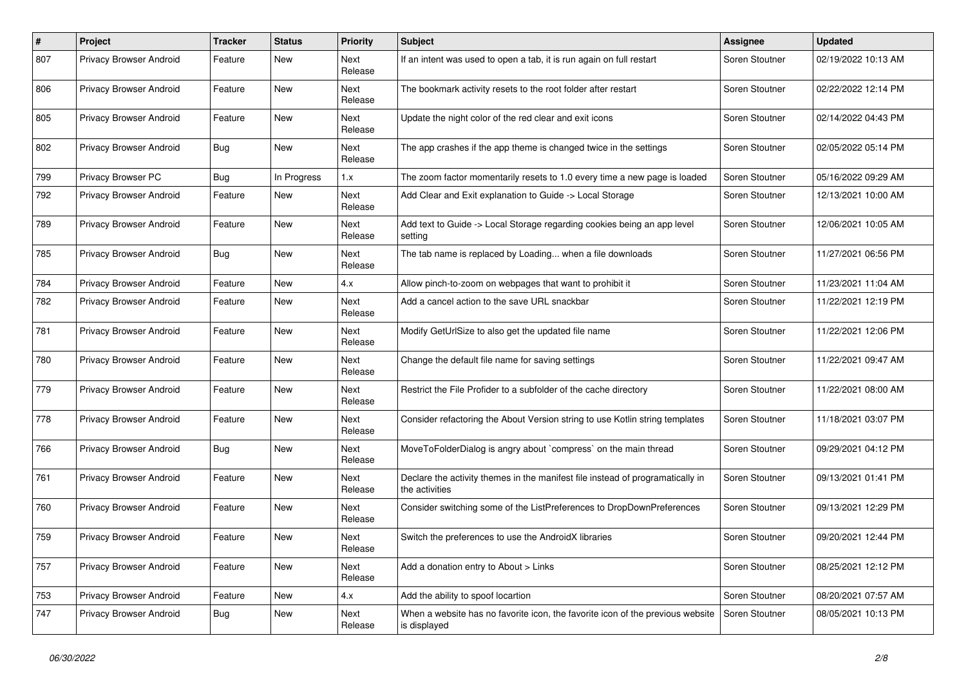| #   | Project                        | <b>Tracker</b> | <b>Status</b> | <b>Priority</b>        | Subject                                                                                          | Assignee       | <b>Updated</b>      |
|-----|--------------------------------|----------------|---------------|------------------------|--------------------------------------------------------------------------------------------------|----------------|---------------------|
| 807 | Privacy Browser Android        | Feature        | New           | Next<br>Release        | If an intent was used to open a tab, it is run again on full restart                             | Soren Stoutner | 02/19/2022 10:13 AM |
| 806 | Privacy Browser Android        | Feature        | New           | Next<br>Release        | The bookmark activity resets to the root folder after restart                                    | Soren Stoutner | 02/22/2022 12:14 PM |
| 805 | Privacy Browser Android        | Feature        | New           | <b>Next</b><br>Release | Update the night color of the red clear and exit icons                                           | Soren Stoutner | 02/14/2022 04:43 PM |
| 802 | Privacy Browser Android        | Bug            | New           | <b>Next</b><br>Release | The app crashes if the app theme is changed twice in the settings                                | Soren Stoutner | 02/05/2022 05:14 PM |
| 799 | Privacy Browser PC             | Bug            | In Progress   | 1.x                    | The zoom factor momentarily resets to 1.0 every time a new page is loaded                        | Soren Stoutner | 05/16/2022 09:29 AM |
| 792 | Privacy Browser Android        | Feature        | New           | Next<br>Release        | Add Clear and Exit explanation to Guide -> Local Storage                                         | Soren Stoutner | 12/13/2021 10:00 AM |
| 789 | Privacy Browser Android        | Feature        | New           | Next<br>Release        | Add text to Guide -> Local Storage regarding cookies being an app level<br>setting               | Soren Stoutner | 12/06/2021 10:05 AM |
| 785 | Privacy Browser Android        | Bug            | New           | Next<br>Release        | The tab name is replaced by Loading when a file downloads                                        | Soren Stoutner | 11/27/2021 06:56 PM |
| 784 | Privacy Browser Android        | Feature        | New           | 4.x                    | Allow pinch-to-zoom on webpages that want to prohibit it                                         | Soren Stoutner | 11/23/2021 11:04 AM |
| 782 | <b>Privacy Browser Android</b> | Feature        | New           | <b>Next</b><br>Release | Add a cancel action to the save URL snackbar                                                     | Soren Stoutner | 11/22/2021 12:19 PM |
| 781 | Privacy Browser Android        | Feature        | New           | Next<br>Release        | Modify GetUrlSize to also get the updated file name                                              | Soren Stoutner | 11/22/2021 12:06 PM |
| 780 | Privacy Browser Android        | Feature        | New           | Next<br>Release        | Change the default file name for saving settings                                                 | Soren Stoutner | 11/22/2021 09:47 AM |
| 779 | Privacy Browser Android        | Feature        | New           | Next<br>Release        | Restrict the File Profider to a subfolder of the cache directory                                 | Soren Stoutner | 11/22/2021 08:00 AM |
| 778 | Privacy Browser Android        | Feature        | New           | Next<br>Release        | Consider refactoring the About Version string to use Kotlin string templates                     | Soren Stoutner | 11/18/2021 03:07 PM |
| 766 | Privacy Browser Android        | Bug            | New           | <b>Next</b><br>Release | MoveToFolderDialog is angry about `compress` on the main thread                                  | Soren Stoutner | 09/29/2021 04:12 PM |
| 761 | Privacy Browser Android        | Feature        | New           | Next<br>Release        | Declare the activity themes in the manifest file instead of programatically in<br>the activities | Soren Stoutner | 09/13/2021 01:41 PM |
| 760 | Privacy Browser Android        | Feature        | New           | Next<br>Release        | Consider switching some of the ListPreferences to DropDownPreferences                            | Soren Stoutner | 09/13/2021 12:29 PM |
| 759 | Privacy Browser Android        | Feature        | New           | Next<br>Release        | Switch the preferences to use the AndroidX libraries                                             | Soren Stoutner | 09/20/2021 12:44 PM |
| 757 | Privacy Browser Android        | Feature        | New           | Next<br>Release        | Add a donation entry to About > Links                                                            | Soren Stoutner | 08/25/2021 12:12 PM |
| 753 | Privacy Browser Android        | Feature        | New           | 4.x                    | Add the ability to spoof locartion                                                               | Soren Stoutner | 08/20/2021 07:57 AM |
| 747 | Privacy Browser Android        | Bug            | New           | Next<br>Release        | When a website has no favorite icon, the favorite icon of the previous website<br>is displayed   | Soren Stoutner | 08/05/2021 10:13 PM |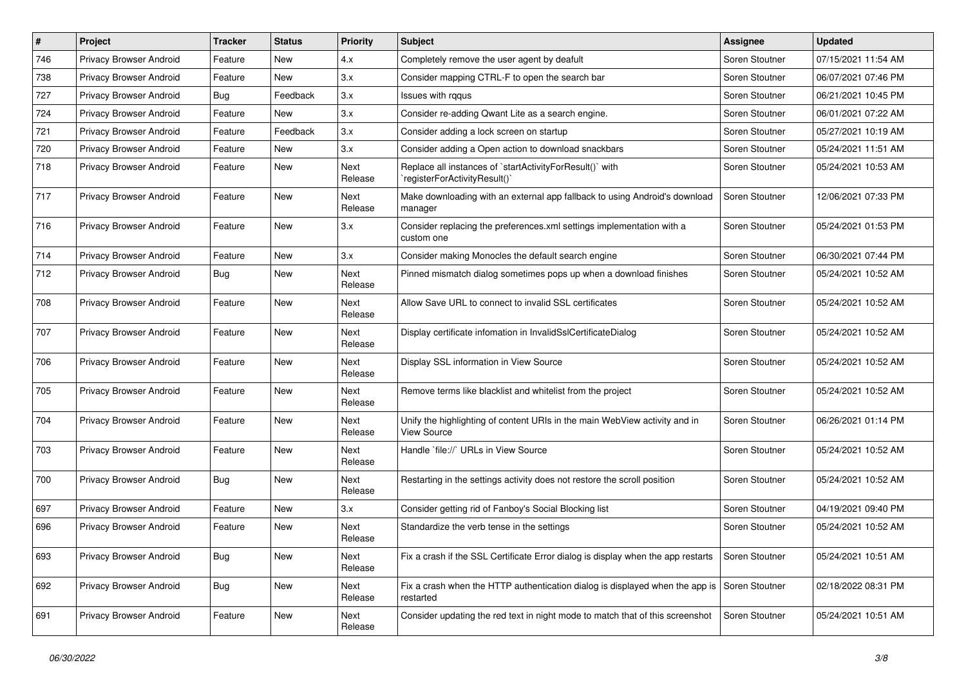| $\vert$ # | Project                        | <b>Tracker</b> | <b>Status</b> | <b>Priority</b>        | Subject                                                                                                  | Assignee       | <b>Updated</b>      |
|-----------|--------------------------------|----------------|---------------|------------------------|----------------------------------------------------------------------------------------------------------|----------------|---------------------|
| 746       | Privacy Browser Android        | Feature        | New           | 4.x                    | Completely remove the user agent by deafult                                                              | Soren Stoutner | 07/15/2021 11:54 AM |
| 738       | Privacy Browser Android        | Feature        | New           | 3.x                    | Consider mapping CTRL-F to open the search bar                                                           | Soren Stoutner | 06/07/2021 07:46 PM |
| 727       | Privacy Browser Android        | <b>Bug</b>     | Feedback      | 3.x                    | Issues with rggus                                                                                        | Soren Stoutner | 06/21/2021 10:45 PM |
| 724       | Privacy Browser Android        | Feature        | New           | 3.x                    | Consider re-adding Qwant Lite as a search engine.                                                        | Soren Stoutner | 06/01/2021 07:22 AM |
| 721       | Privacy Browser Android        | Feature        | Feedback      | 3.x                    | Consider adding a lock screen on startup                                                                 | Soren Stoutner | 05/27/2021 10:19 AM |
| 720       | Privacy Browser Android        | Feature        | New           | 3.x                    | Consider adding a Open action to download snackbars                                                      | Soren Stoutner | 05/24/2021 11:51 AM |
| 718       | Privacy Browser Android        | Feature        | New           | <b>Next</b><br>Release | Replace all instances of `startActivityForResult()` with<br>registerForActivityResult()`                 | Soren Stoutner | 05/24/2021 10:53 AM |
| 717       | Privacy Browser Android        | Feature        | New           | Next<br>Release        | Make downloading with an external app fallback to using Android's download<br>manager                    | Soren Stoutner | 12/06/2021 07:33 PM |
| 716       | Privacy Browser Android        | Feature        | New           | 3.x                    | Consider replacing the preferences.xml settings implementation with a<br>custom one                      | Soren Stoutner | 05/24/2021 01:53 PM |
| 714       | Privacy Browser Android        | Feature        | <b>New</b>    | 3.x                    | Consider making Monocles the default search engine                                                       | Soren Stoutner | 06/30/2021 07:44 PM |
| 712       | Privacy Browser Android        | <b>Bug</b>     | <b>New</b>    | <b>Next</b><br>Release | Pinned mismatch dialog sometimes pops up when a download finishes                                        | Soren Stoutner | 05/24/2021 10:52 AM |
| 708       | Privacy Browser Android        | Feature        | <b>New</b>    | <b>Next</b><br>Release | Allow Save URL to connect to invalid SSL certificates                                                    | Soren Stoutner | 05/24/2021 10:52 AM |
| 707       | Privacy Browser Android        | Feature        | New           | Next<br>Release        | Display certificate infomation in InvalidSslCertificateDialog                                            | Soren Stoutner | 05/24/2021 10:52 AM |
| 706       | Privacy Browser Android        | Feature        | New           | Next<br>Release        | Display SSL information in View Source                                                                   | Soren Stoutner | 05/24/2021 10:52 AM |
| 705       | <b>Privacy Browser Android</b> | Feature        | <b>New</b>    | Next<br>Release        | Remove terms like blacklist and whitelist from the project                                               | Soren Stoutner | 05/24/2021 10:52 AM |
| 704       | Privacy Browser Android        | Feature        | <b>New</b>    | <b>Next</b><br>Release | Unify the highlighting of content URIs in the main WebView activity and in<br>View Source                | Soren Stoutner | 06/26/2021 01:14 PM |
| 703       | Privacy Browser Android        | Feature        | New           | Next<br>Release        | Handle `file://` URLs in View Source                                                                     | Soren Stoutner | 05/24/2021 10:52 AM |
| 700       | Privacy Browser Android        | Bug            | New           | Next<br>Release        | Restarting in the settings activity does not restore the scroll position                                 | Soren Stoutner | 05/24/2021 10:52 AM |
| 697       | Privacy Browser Android        | Feature        | <b>New</b>    | 3.x                    | Consider getting rid of Fanboy's Social Blocking list                                                    | Soren Stoutner | 04/19/2021 09:40 PM |
| 696       | Privacy Browser Android        | Feature        | New           | Next<br>Release        | Standardize the verb tense in the settings                                                               | Soren Stoutner | 05/24/2021 10:52 AM |
| 693       | Privacy Browser Android        | Bug            | New           | Next<br>Release        | Fix a crash if the SSL Certificate Error dialog is display when the app restarts                         | Soren Stoutner | 05/24/2021 10:51 AM |
| 692       | Privacy Browser Android        | <b>Bug</b>     | New           | Next<br>Release        | Fix a crash when the HTTP authentication dialog is displayed when the app is Soren Stoutner<br>restarted |                | 02/18/2022 08:31 PM |
| 691       | Privacy Browser Android        | Feature        | New           | Next<br>Release        | Consider updating the red text in night mode to match that of this screenshot                            | Soren Stoutner | 05/24/2021 10:51 AM |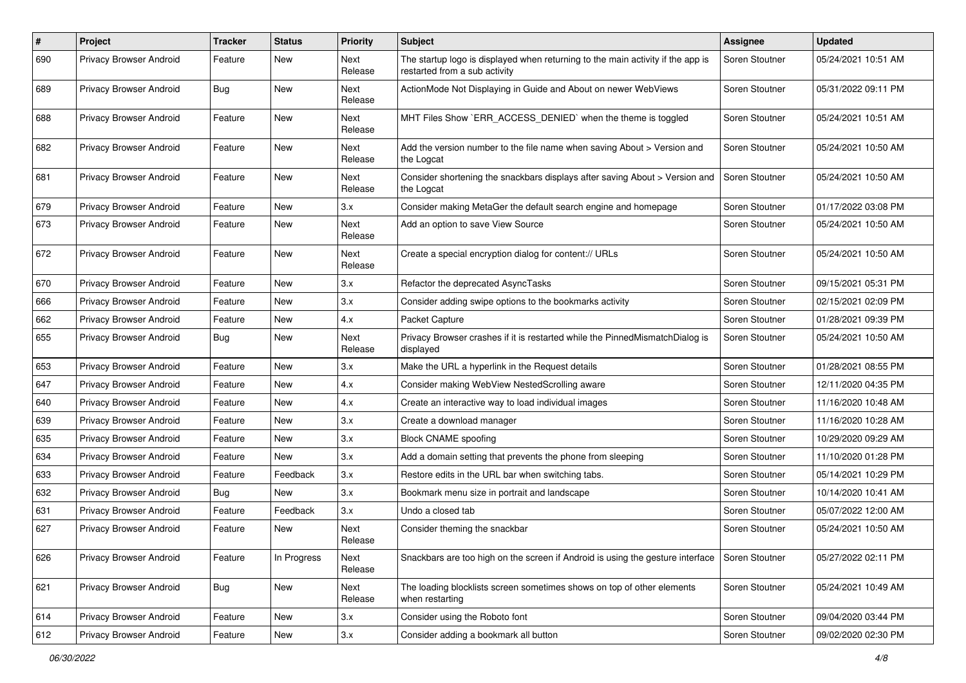| #   | Project                 | <b>Tracker</b> | <b>Status</b> | <b>Priority</b>        | <b>Subject</b>                                                                                                   | Assignee       | <b>Updated</b>      |
|-----|-------------------------|----------------|---------------|------------------------|------------------------------------------------------------------------------------------------------------------|----------------|---------------------|
| 690 | Privacy Browser Android | Feature        | New           | Next<br>Release        | The startup logo is displayed when returning to the main activity if the app is<br>restarted from a sub activity | Soren Stoutner | 05/24/2021 10:51 AM |
| 689 | Privacy Browser Android | Bug            | New           | Next<br>Release        | ActionMode Not Displaying in Guide and About on newer WebViews                                                   | Soren Stoutner | 05/31/2022 09:11 PM |
| 688 | Privacy Browser Android | Feature        | New           | <b>Next</b><br>Release | MHT Files Show `ERR_ACCESS_DENIED` when the theme is toggled                                                     | Soren Stoutner | 05/24/2021 10:51 AM |
| 682 | Privacy Browser Android | Feature        | New           | <b>Next</b><br>Release | Add the version number to the file name when saving About > Version and<br>the Logcat                            | Soren Stoutner | 05/24/2021 10:50 AM |
| 681 | Privacy Browser Android | Feature        | New           | Next<br>Release        | Consider shortening the snackbars displays after saving About > Version and<br>the Logcat                        | Soren Stoutner | 05/24/2021 10:50 AM |
| 679 | Privacy Browser Android | Feature        | New           | 3.x                    | Consider making MetaGer the default search engine and homepage                                                   | Soren Stoutner | 01/17/2022 03:08 PM |
| 673 | Privacy Browser Android | Feature        | New           | <b>Next</b><br>Release | Add an option to save View Source                                                                                | Soren Stoutner | 05/24/2021 10:50 AM |
| 672 | Privacy Browser Android | Feature        | New           | Next<br>Release        | Create a special encryption dialog for content:// URLs                                                           | Soren Stoutner | 05/24/2021 10:50 AM |
| 670 | Privacy Browser Android | Feature        | New           | 3.x                    | Refactor the deprecated AsyncTasks                                                                               | Soren Stoutner | 09/15/2021 05:31 PM |
| 666 | Privacy Browser Android | Feature        | New           | 3.x                    | Consider adding swipe options to the bookmarks activity                                                          | Soren Stoutner | 02/15/2021 02:09 PM |
| 662 | Privacy Browser Android | Feature        | New           | 4.x                    | Packet Capture                                                                                                   | Soren Stoutner | 01/28/2021 09:39 PM |
| 655 | Privacy Browser Android | Bug            | New           | Next<br>Release        | Privacy Browser crashes if it is restarted while the PinnedMismatchDialog is<br>displayed                        | Soren Stoutner | 05/24/2021 10:50 AM |
| 653 | Privacy Browser Android | Feature        | New           | 3.x                    | Make the URL a hyperlink in the Request details                                                                  | Soren Stoutner | 01/28/2021 08:55 PM |
| 647 | Privacy Browser Android | Feature        | New           | 4.x                    | Consider making WebView NestedScrolling aware                                                                    | Soren Stoutner | 12/11/2020 04:35 PM |
| 640 | Privacy Browser Android | Feature        | New           | 4.x                    | Create an interactive way to load individual images                                                              | Soren Stoutner | 11/16/2020 10:48 AM |
| 639 | Privacy Browser Android | Feature        | New           | 3.x                    | Create a download manager                                                                                        | Soren Stoutner | 11/16/2020 10:28 AM |
| 635 | Privacy Browser Android | Feature        | New           | 3.x                    | <b>Block CNAME spoofing</b>                                                                                      | Soren Stoutner | 10/29/2020 09:29 AM |
| 634 | Privacy Browser Android | Feature        | New           | 3.x                    | Add a domain setting that prevents the phone from sleeping                                                       | Soren Stoutner | 11/10/2020 01:28 PM |
| 633 | Privacy Browser Android | Feature        | Feedback      | 3.x                    | Restore edits in the URL bar when switching tabs.                                                                | Soren Stoutner | 05/14/2021 10:29 PM |
| 632 | Privacy Browser Android | Bug            | New           | 3.x                    | Bookmark menu size in portrait and landscape                                                                     | Soren Stoutner | 10/14/2020 10:41 AM |
| 631 | Privacy Browser Android | Feature        | Feedback      | 3.x                    | Undo a closed tab                                                                                                | Soren Stoutner | 05/07/2022 12:00 AM |
| 627 | Privacy Browser Android | Feature        | New           | Next<br>Release        | Consider theming the snackbar                                                                                    | Soren Stoutner | 05/24/2021 10:50 AM |
| 626 | Privacy Browser Android | Feature        | In Progress   | Next<br>Release        | Snackbars are too high on the screen if Android is using the gesture interface                                   | Soren Stoutner | 05/27/2022 02:11 PM |
| 621 | Privacy Browser Android | <b>Bug</b>     | New           | Next<br>Release        | The loading blocklists screen sometimes shows on top of other elements<br>when restarting                        | Soren Stoutner | 05/24/2021 10:49 AM |
| 614 | Privacy Browser Android | Feature        | New           | 3.x                    | Consider using the Roboto font                                                                                   | Soren Stoutner | 09/04/2020 03:44 PM |
| 612 | Privacy Browser Android | Feature        | New           | 3.x                    | Consider adding a bookmark all button                                                                            | Soren Stoutner | 09/02/2020 02:30 PM |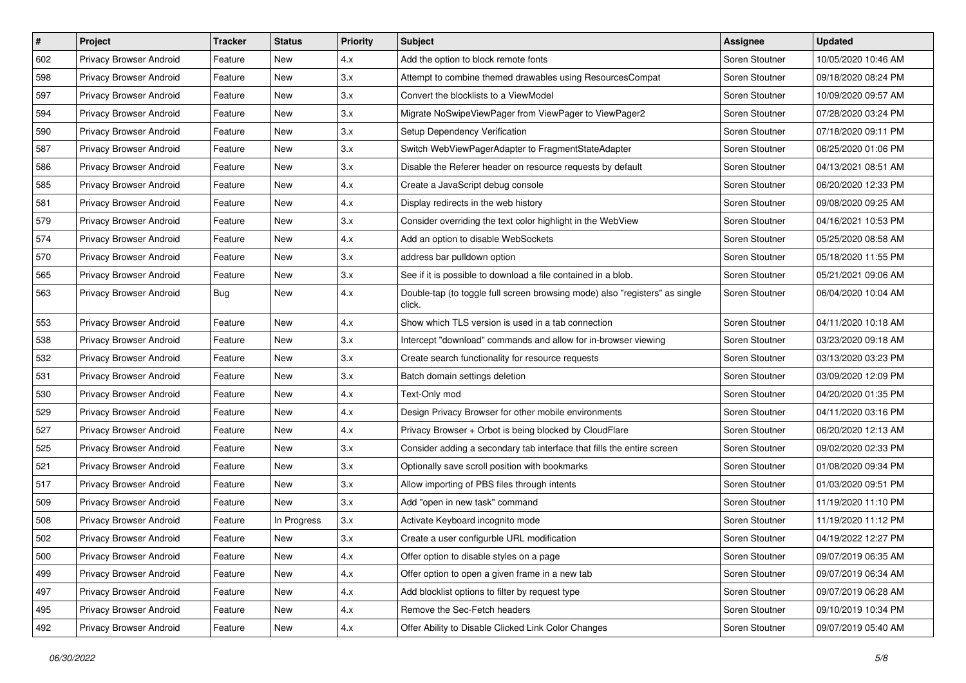| $\#$ | Project                 | <b>Tracker</b> | <b>Status</b> | <b>Priority</b> | <b>Subject</b>                                                                        | <b>Assignee</b> | <b>Updated</b>      |
|------|-------------------------|----------------|---------------|-----------------|---------------------------------------------------------------------------------------|-----------------|---------------------|
| 602  | Privacy Browser Android | Feature        | New           | 4.x             | Add the option to block remote fonts                                                  | Soren Stoutner  | 10/05/2020 10:46 AM |
| 598  | Privacy Browser Android | Feature        | New           | 3.x             | Attempt to combine themed drawables using ResourcesCompat                             | Soren Stoutner  | 09/18/2020 08:24 PM |
| 597  | Privacy Browser Android | Feature        | New           | 3.x             | Convert the blocklists to a ViewModel                                                 | Soren Stoutner  | 10/09/2020 09:57 AM |
| 594  | Privacy Browser Android | Feature        | New           | 3.x             | Migrate NoSwipeViewPager from ViewPager to ViewPager2                                 | Soren Stoutner  | 07/28/2020 03:24 PM |
| 590  | Privacy Browser Android | Feature        | <b>New</b>    | 3.x             | Setup Dependency Verification                                                         | Soren Stoutner  | 07/18/2020 09:11 PM |
| 587  | Privacy Browser Android | Feature        | New           | 3.x             | Switch WebViewPagerAdapter to FragmentStateAdapter                                    | Soren Stoutner  | 06/25/2020 01:06 PM |
| 586  | Privacy Browser Android | Feature        | New           | 3.x             | Disable the Referer header on resource requests by default                            | Soren Stoutner  | 04/13/2021 08:51 AM |
| 585  | Privacy Browser Android | Feature        | New           | 4.x             | Create a JavaScript debug console                                                     | Soren Stoutner  | 06/20/2020 12:33 PM |
| 581  | Privacy Browser Android | Feature        | New           | 4.x             | Display redirects in the web history                                                  | Soren Stoutner  | 09/08/2020 09:25 AM |
| 579  | Privacy Browser Android | Feature        | New           | 3.x             | Consider overriding the text color highlight in the WebView                           | Soren Stoutner  | 04/16/2021 10:53 PM |
| 574  | Privacy Browser Android | Feature        | New           | 4.x             | Add an option to disable WebSockets                                                   | Soren Stoutner  | 05/25/2020 08:58 AM |
| 570  | Privacy Browser Android | Feature        | New           | 3.x             | address bar pulldown option                                                           | Soren Stoutner  | 05/18/2020 11:55 PM |
| 565  | Privacy Browser Android | Feature        | New           | 3.x             | See if it is possible to download a file contained in a blob.                         | Soren Stoutner  | 05/21/2021 09:06 AM |
| 563  | Privacy Browser Android | Bug            | New           | 4.x             | Double-tap (to toggle full screen browsing mode) also "registers" as single<br>click. | Soren Stoutner  | 06/04/2020 10:04 AM |
| 553  | Privacy Browser Android | Feature        | New           | 4.x             | Show which TLS version is used in a tab connection                                    | Soren Stoutner  | 04/11/2020 10:18 AM |
| 538  | Privacy Browser Android | Feature        | New           | 3.x             | Intercept "download" commands and allow for in-browser viewing                        | Soren Stoutner  | 03/23/2020 09:18 AM |
| 532  | Privacy Browser Android | Feature        | New           | 3.x             | Create search functionality for resource requests                                     | Soren Stoutner  | 03/13/2020 03:23 PM |
| 531  | Privacy Browser Android | Feature        | New           | 3.x             | Batch domain settings deletion                                                        | Soren Stoutner  | 03/09/2020 12:09 PM |
| 530  | Privacy Browser Android | Feature        | New           | 4.x             | Text-Only mod                                                                         | Soren Stoutner  | 04/20/2020 01:35 PM |
| 529  | Privacy Browser Android | Feature        | New           | 4.x             | Design Privacy Browser for other mobile environments                                  | Soren Stoutner  | 04/11/2020 03:16 PM |
| 527  | Privacy Browser Android | Feature        | New           | 4.x             | Privacy Browser + Orbot is being blocked by CloudFlare                                | Soren Stoutner  | 06/20/2020 12:13 AM |
| 525  | Privacy Browser Android | Feature        | <b>New</b>    | 3.x             | Consider adding a secondary tab interface that fills the entire screen                | Soren Stoutner  | 09/02/2020 02:33 PM |
| 521  | Privacy Browser Android | Feature        | New           | 3.x             | Optionally save scroll position with bookmarks                                        | Soren Stoutner  | 01/08/2020 09:34 PM |
| 517  | Privacy Browser Android | Feature        | New           | 3.x             | Allow importing of PBS files through intents                                          | Soren Stoutner  | 01/03/2020 09:51 PM |
| 509  | Privacy Browser Android | Feature        | New           | 3.x             | Add "open in new task" command                                                        | Soren Stoutner  | 11/19/2020 11:10 PM |
| 508  | Privacy Browser Android | Feature        | In Progress   | 3.x             | Activate Keyboard incognito mode                                                      | Soren Stoutner  | 11/19/2020 11:12 PM |
| 502  | Privacy Browser Android | Feature        | New           | 3.x             | Create a user configurble URL modification                                            | Soren Stoutner  | 04/19/2022 12:27 PM |
| 500  | Privacy Browser Android | Feature        | New           | 4.x             | Offer option to disable styles on a page                                              | Soren Stoutner  | 09/07/2019 06:35 AM |
| 499  | Privacy Browser Android | Feature        | New           | 4.x             | Offer option to open a given frame in a new tab                                       | Soren Stoutner  | 09/07/2019 06:34 AM |
| 497  | Privacy Browser Android | Feature        | New           | 4.x             | Add blocklist options to filter by request type                                       | Soren Stoutner  | 09/07/2019 06:28 AM |
| 495  | Privacy Browser Android | Feature        | New           | 4.x             | Remove the Sec-Fetch headers                                                          | Soren Stoutner  | 09/10/2019 10:34 PM |
| 492  | Privacy Browser Android | Feature        | New           | 4.x             | Offer Ability to Disable Clicked Link Color Changes                                   | Soren Stoutner  | 09/07/2019 05:40 AM |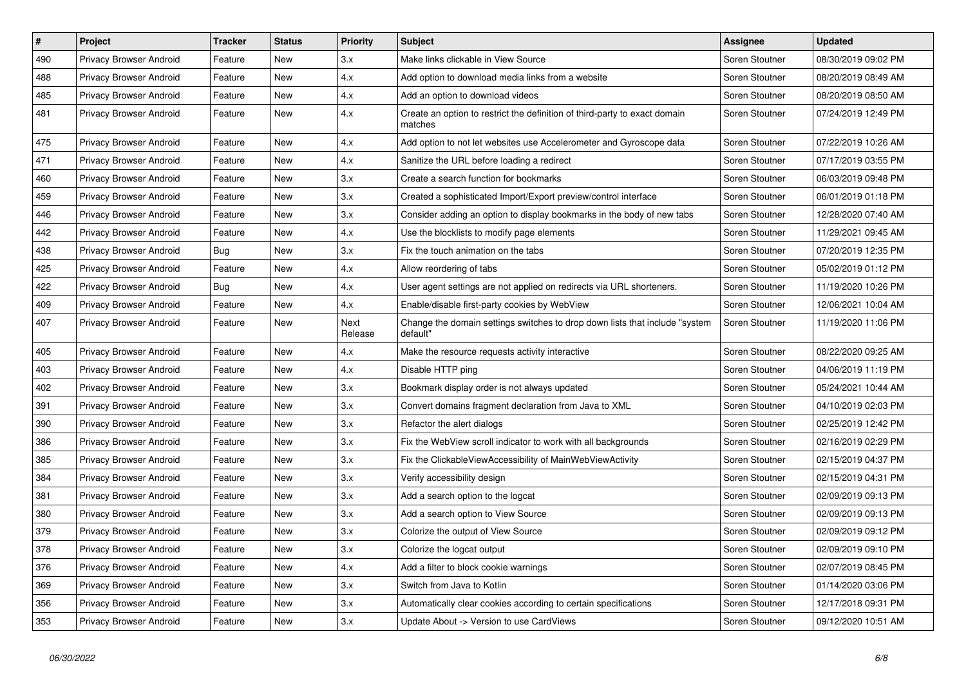| $\vert$ # | Project                        | <b>Tracker</b> | <b>Status</b> | <b>Priority</b> | <b>Subject</b>                                                                           | <b>Assignee</b> | <b>Updated</b>      |
|-----------|--------------------------------|----------------|---------------|-----------------|------------------------------------------------------------------------------------------|-----------------|---------------------|
| 490       | Privacy Browser Android        | Feature        | New           | 3.x             | Make links clickable in View Source                                                      | Soren Stoutner  | 08/30/2019 09:02 PM |
| 488       | Privacy Browser Android        | Feature        | New           | 4.x             | Add option to download media links from a website                                        | Soren Stoutner  | 08/20/2019 08:49 AM |
| 485       | Privacy Browser Android        | Feature        | New           | 4.x             | Add an option to download videos                                                         | Soren Stoutner  | 08/20/2019 08:50 AM |
| 481       | Privacy Browser Android        | Feature        | New           | 4.x             | Create an option to restrict the definition of third-party to exact domain<br>matches    | Soren Stoutner  | 07/24/2019 12:49 PM |
| 475       | Privacy Browser Android        | Feature        | New           | 4.x             | Add option to not let websites use Accelerometer and Gyroscope data                      | Soren Stoutner  | 07/22/2019 10:26 AM |
| 471       | Privacy Browser Android        | Feature        | New           | 4.x             | Sanitize the URL before loading a redirect                                               | Soren Stoutner  | 07/17/2019 03:55 PM |
| 460       | <b>Privacy Browser Android</b> | Feature        | <b>New</b>    | 3.x             | Create a search function for bookmarks                                                   | Soren Stoutner  | 06/03/2019 09:48 PM |
| 459       | Privacy Browser Android        | Feature        | New           | 3.x             | Created a sophisticated Import/Export preview/control interface                          | Soren Stoutner  | 06/01/2019 01:18 PM |
| 446       | Privacy Browser Android        | Feature        | <b>New</b>    | 3.x             | Consider adding an option to display bookmarks in the body of new tabs                   | Soren Stoutner  | 12/28/2020 07:40 AM |
| 442       | <b>Privacy Browser Android</b> | Feature        | New           | 4.x             | Use the blocklists to modify page elements                                               | Soren Stoutner  | 11/29/2021 09:45 AM |
| 438       | <b>Privacy Browser Android</b> | <b>Bug</b>     | New           | 3.x             | Fix the touch animation on the tabs                                                      | Soren Stoutner  | 07/20/2019 12:35 PM |
| 425       | <b>Privacy Browser Android</b> | Feature        | New           | 4.x             | Allow reordering of tabs                                                                 | Soren Stoutner  | 05/02/2019 01:12 PM |
| 422       | Privacy Browser Android        | Bug            | New           | 4.x             | User agent settings are not applied on redirects via URL shorteners.                     | Soren Stoutner  | 11/19/2020 10:26 PM |
| 409       | Privacy Browser Android        | Feature        | New           | 4.x             | Enable/disable first-party cookies by WebView                                            | Soren Stoutner  | 12/06/2021 10:04 AM |
| 407       | Privacy Browser Android        | Feature        | New           | Next<br>Release | Change the domain settings switches to drop down lists that include "system"<br>default" | Soren Stoutner  | 11/19/2020 11:06 PM |
| 405       | Privacy Browser Android        | Feature        | New           | 4.x             | Make the resource requests activity interactive                                          | Soren Stoutner  | 08/22/2020 09:25 AM |
| 403       | Privacy Browser Android        | Feature        | New           | 4.x             | Disable HTTP ping                                                                        | Soren Stoutner  | 04/06/2019 11:19 PM |
| 402       | <b>Privacy Browser Android</b> | Feature        | New           | 3.x             | Bookmark display order is not always updated                                             | Soren Stoutner  | 05/24/2021 10:44 AM |
| 391       | Privacy Browser Android        | Feature        | New           | 3.x             | Convert domains fragment declaration from Java to XML                                    | Soren Stoutner  | 04/10/2019 02:03 PM |
| 390       | Privacy Browser Android        | Feature        | New           | 3.x             | Refactor the alert dialogs                                                               | Soren Stoutner  | 02/25/2019 12:42 PM |
| 386       | <b>Privacy Browser Android</b> | Feature        | New           | 3.x             | Fix the WebView scroll indicator to work with all backgrounds                            | Soren Stoutner  | 02/16/2019 02:29 PM |
| 385       | Privacy Browser Android        | Feature        | New           | 3.x             | Fix the Clickable View Accessibility of Main Web View Activity                           | Soren Stoutner  | 02/15/2019 04:37 PM |
| 384       | <b>Privacy Browser Android</b> | Feature        | New           | 3.x             | Verify accessibility design                                                              | Soren Stoutner  | 02/15/2019 04:31 PM |
| 381       | <b>Privacy Browser Android</b> | Feature        | New           | 3.x             | Add a search option to the logcat                                                        | Soren Stoutner  | 02/09/2019 09:13 PM |
| 380       | Privacy Browser Android        | Feature        | New           | 3.x             | Add a search option to View Source                                                       | Soren Stoutner  | 02/09/2019 09:13 PM |
| 379       | Privacy Browser Android        | Feature        | New           | 3.x             | Colorize the output of View Source                                                       | Soren Stoutner  | 02/09/2019 09:12 PM |
| 378       | Privacy Browser Android        | Feature        | New           | 3.x             | Colorize the logcat output                                                               | Soren Stoutner  | 02/09/2019 09:10 PM |
| 376       | Privacy Browser Android        | Feature        | New           | 4.x             | Add a filter to block cookie warnings                                                    | Soren Stoutner  | 02/07/2019 08:45 PM |
| 369       | Privacy Browser Android        | Feature        | New           | 3.x             | Switch from Java to Kotlin                                                               | Soren Stoutner  | 01/14/2020 03:06 PM |
| 356       | <b>Privacy Browser Android</b> | Feature        | <b>New</b>    | 3.x             | Automatically clear cookies according to certain specifications                          | Soren Stoutner  | 12/17/2018 09:31 PM |
| 353       | Privacy Browser Android        | Feature        | New           | 3.x             | Update About -> Version to use CardViews                                                 | Soren Stoutner  | 09/12/2020 10:51 AM |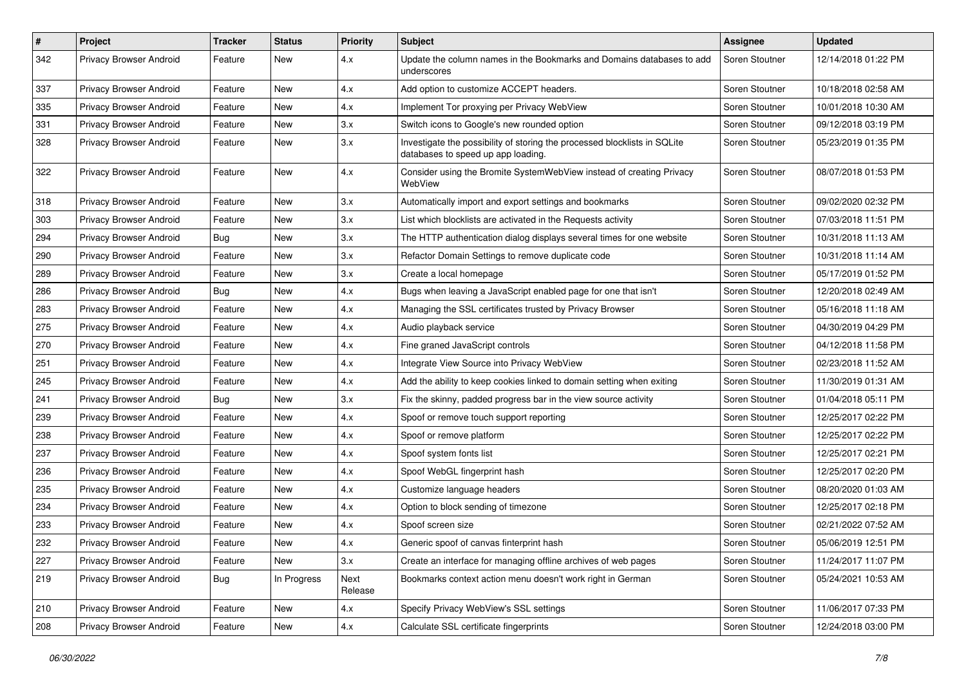| #   | Project                        | <b>Tracker</b> | <b>Status</b> | <b>Priority</b> | Subject                                                                                                         | <b>Assignee</b> | <b>Updated</b>      |
|-----|--------------------------------|----------------|---------------|-----------------|-----------------------------------------------------------------------------------------------------------------|-----------------|---------------------|
| 342 | Privacy Browser Android        | Feature        | New           | 4.x             | Update the column names in the Bookmarks and Domains databases to add<br>underscores                            | Soren Stoutner  | 12/14/2018 01:22 PM |
| 337 | Privacy Browser Android        | Feature        | New           | 4.x             | Add option to customize ACCEPT headers.                                                                         | Soren Stoutner  | 10/18/2018 02:58 AM |
| 335 | <b>Privacy Browser Android</b> | Feature        | New           | 4.x             | Implement Tor proxying per Privacy WebView                                                                      | Soren Stoutner  | 10/01/2018 10:30 AM |
| 331 | Privacy Browser Android        | Feature        | New           | 3.x             | Switch icons to Google's new rounded option                                                                     | Soren Stoutner  | 09/12/2018 03:19 PM |
| 328 | Privacy Browser Android        | Feature        | New           | 3.x             | Investigate the possibility of storing the processed blocklists in SQLite<br>databases to speed up app loading. | Soren Stoutner  | 05/23/2019 01:35 PM |
| 322 | Privacy Browser Android        | Feature        | New           | 4.x             | Consider using the Bromite SystemWebView instead of creating Privacy<br>WebView                                 | Soren Stoutner  | 08/07/2018 01:53 PM |
| 318 | Privacy Browser Android        | Feature        | New           | 3.x             | Automatically import and export settings and bookmarks                                                          | Soren Stoutner  | 09/02/2020 02:32 PM |
| 303 | Privacy Browser Android        | Feature        | New           | 3.x             | List which blocklists are activated in the Requests activity                                                    | Soren Stoutner  | 07/03/2018 11:51 PM |
| 294 | Privacy Browser Android        | Bug            | New           | 3.x             | The HTTP authentication dialog displays several times for one website                                           | Soren Stoutner  | 10/31/2018 11:13 AM |
| 290 | Privacy Browser Android        | Feature        | New           | 3.x             | Refactor Domain Settings to remove duplicate code                                                               | Soren Stoutner  | 10/31/2018 11:14 AM |
| 289 | Privacy Browser Android        | Feature        | New           | 3.x             | Create a local homepage                                                                                         | Soren Stoutner  | 05/17/2019 01:52 PM |
| 286 | Privacy Browser Android        | Bug            | New           | 4.x             | Bugs when leaving a JavaScript enabled page for one that isn't                                                  | Soren Stoutner  | 12/20/2018 02:49 AM |
| 283 | <b>Privacy Browser Android</b> | Feature        | New           | 4.x             | Managing the SSL certificates trusted by Privacy Browser                                                        | Soren Stoutner  | 05/16/2018 11:18 AM |
| 275 | Privacy Browser Android        | Feature        | New           | 4.x             | Audio playback service                                                                                          | Soren Stoutner  | 04/30/2019 04:29 PM |
| 270 | Privacy Browser Android        | Feature        | New           | 4.x             | Fine graned JavaScript controls                                                                                 | Soren Stoutner  | 04/12/2018 11:58 PM |
| 251 | Privacy Browser Android        | Feature        | New           | 4.x             | Integrate View Source into Privacy WebView                                                                      | Soren Stoutner  | 02/23/2018 11:52 AM |
| 245 | Privacy Browser Android        | Feature        | New           | 4.x             | Add the ability to keep cookies linked to domain setting when exiting                                           | Soren Stoutner  | 11/30/2019 01:31 AM |
| 241 | Privacy Browser Android        | Bug            | New           | 3.x             | Fix the skinny, padded progress bar in the view source activity                                                 | Soren Stoutner  | 01/04/2018 05:11 PM |
| 239 | Privacy Browser Android        | Feature        | New           | 4.x             | Spoof or remove touch support reporting                                                                         | Soren Stoutner  | 12/25/2017 02:22 PM |
| 238 | Privacy Browser Android        | Feature        | New           | 4.x             | Spoof or remove platform                                                                                        | Soren Stoutner  | 12/25/2017 02:22 PM |
| 237 | Privacy Browser Android        | Feature        | New           | 4.x             | Spoof system fonts list                                                                                         | Soren Stoutner  | 12/25/2017 02:21 PM |
| 236 | Privacy Browser Android        | Feature        | New           | 4.x             | Spoof WebGL fingerprint hash                                                                                    | Soren Stoutner  | 12/25/2017 02:20 PM |
| 235 | Privacy Browser Android        | Feature        | New           | 4.x             | Customize language headers                                                                                      | Soren Stoutner  | 08/20/2020 01:03 AM |
| 234 | Privacy Browser Android        | Feature        | New           | 4.x             | Option to block sending of timezone                                                                             | Soren Stoutner  | 12/25/2017 02:18 PM |
| 233 | Privacy Browser Android        | Feature        | New           | 4.x             | Spoof screen size                                                                                               | Soren Stoutner  | 02/21/2022 07:52 AM |
| 232 | Privacy Browser Android        | Feature        | New           | 4.x             | Generic spoof of canvas finterprint hash                                                                        | Soren Stoutner  | 05/06/2019 12:51 PM |
| 227 | Privacy Browser Android        | Feature        | New           | 3.x             | Create an interface for managing offline archives of web pages                                                  | Soren Stoutner  | 11/24/2017 11:07 PM |
| 219 | Privacy Browser Android        | <b>Bug</b>     | In Progress   | Next<br>Release | Bookmarks context action menu doesn't work right in German                                                      | Soren Stoutner  | 05/24/2021 10:53 AM |
| 210 | Privacy Browser Android        | Feature        | New           | 4.x             | Specify Privacy WebView's SSL settings                                                                          | Soren Stoutner  | 11/06/2017 07:33 PM |
| 208 | Privacy Browser Android        | Feature        | New           | 4.x             | Calculate SSL certificate fingerprints                                                                          | Soren Stoutner  | 12/24/2018 03:00 PM |